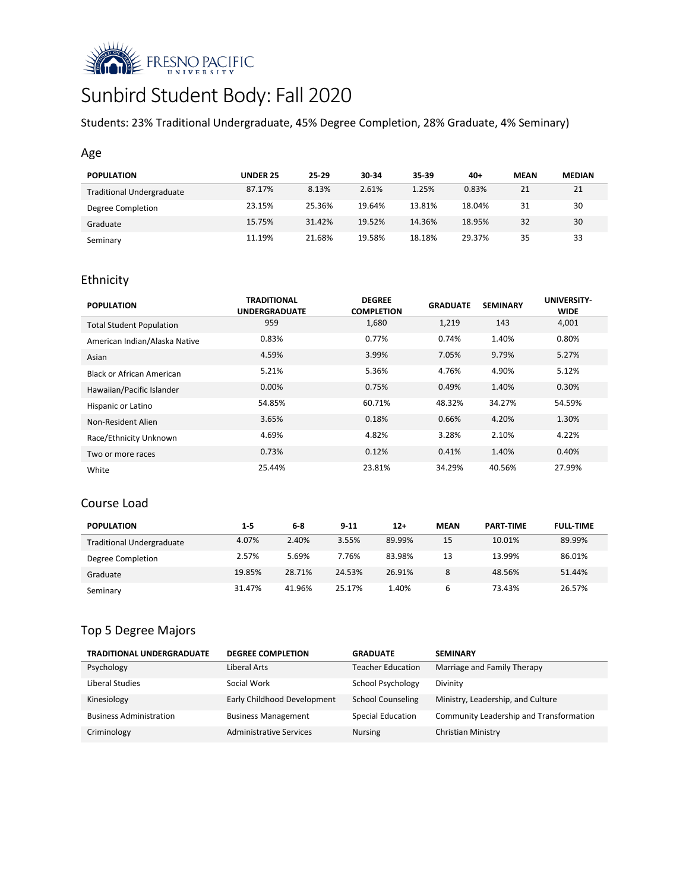

# Sunbird Student Body: Fall 2020

Students: 23% Traditional Undergraduate, 45% Degree Completion, 28% Graduate, 4% Seminary)

## Age

| <b>POPULATION</b>                | <b>UNDER 25</b> | 25 29  | 30-34  | 35-39  | $40+$  | <b>MEAN</b> | <b>MEDIAN</b> |
|----------------------------------|-----------------|--------|--------|--------|--------|-------------|---------------|
| <b>Traditional Undergraduate</b> | 87.17%          | 8.13%  | 2.61%  | 1.25%  | 0.83%  | 21          | 21            |
| Degree Completion                | 23.15%          | 25.36% | 19.64% | 13.81% | 18.04% | 31          | 30            |
| Graduate                         | 15.75%          | 31.42% | 19.52% | 14.36% | 18.95% | 32          | 30            |
| Seminary                         | 11.19%          | 21.68% | 19.58% | 18.18% | 29.37% | 35          | 33            |

# Ethnicity

| <b>POPULATION</b>               | <b>TRADITIONAL</b><br><b>UNDERGRADUATE</b> | <b>DEGREE</b><br><b>COMPLETION</b> | <b>GRADUATE</b> | <b>SEMINARY</b> | UNIVERSITY-<br><b>WIDE</b> |
|---------------------------------|--------------------------------------------|------------------------------------|-----------------|-----------------|----------------------------|
| <b>Total Student Population</b> | 959                                        | 1,680                              | 1,219           | 143             | 4,001                      |
| American Indian/Alaska Native   | 0.83%                                      | 0.77%                              | 0.74%           | 1.40%           | 0.80%                      |
| Asian                           | 4.59%                                      | 3.99%                              | 7.05%           | 9.79%           | 5.27%                      |
| Black or African American       | 5.21%                                      | 5.36%                              | 4.76%           | 4.90%           | 5.12%                      |
| Hawaiian/Pacific Islander       | 0.00%                                      | 0.75%                              | 0.49%           | 1.40%           | 0.30%                      |
| Hispanic or Latino              | 54.85%                                     | 60.71%                             | 48.32%          | 34.27%          | 54.59%                     |
| Non-Resident Alien              | 3.65%                                      | 0.18%                              | 0.66%           | 4.20%           | 1.30%                      |
| Race/Ethnicity Unknown          | 4.69%                                      | 4.82%                              | 3.28%           | 2.10%           | 4.22%                      |
| Two or more races               | 0.73%                                      | 0.12%                              | 0.41%           | 1.40%           | 0.40%                      |
| White                           | 25.44%                                     | 23.81%                             | 34.29%          | 40.56%          | 27.99%                     |

# Course Load

| <b>POPULATION</b>                | 1-5    | $6 - 8$ | $9 - 11$ | $12+$  | <b>MEAN</b> | <b>PART-TIME</b> | <b>FULL TIME</b> |
|----------------------------------|--------|---------|----------|--------|-------------|------------------|------------------|
| <b>Traditional Undergraduate</b> | 4.07%  | 2.40%   | 3.55%    | 89.99% | 15          | 10.01%           | 89.99%           |
| Degree Completion                | 2.57%  | 5.69%   | 7.76%    | 83.98% | 13          | 13.99%           | 86.01%           |
| Graduate                         | 19.85% | 28.71%  | 24.53%   | 26.91% | 8           | 48.56%           | 51.44%           |
| Seminary                         | 31.47% | 41.96%  | 25.17%   | 1.40%  | 6           | 73.43%           | 26.57%           |

## Top 5 Degree Majors

| <b>TRADITIONAL UNDERGRADUATE</b> | <b>DEGREE COMPLETION</b>       | <b>GRADUATE</b>          | <b>SEMINARY</b>                         |
|----------------------------------|--------------------------------|--------------------------|-----------------------------------------|
| Psychology                       | Liberal Arts                   | <b>Teacher Education</b> | Marriage and Family Therapy             |
| Liberal Studies                  | Social Work                    | <b>School Psychology</b> | Divinity                                |
| Kinesiology                      | Early Childhood Development    | <b>School Counseling</b> | Ministry, Leadership, and Culture       |
| <b>Business Administration</b>   | <b>Business Management</b>     | <b>Special Education</b> | Community Leadership and Transformation |
| Criminology                      | <b>Administrative Services</b> | <b>Nursing</b>           | Christian Ministry                      |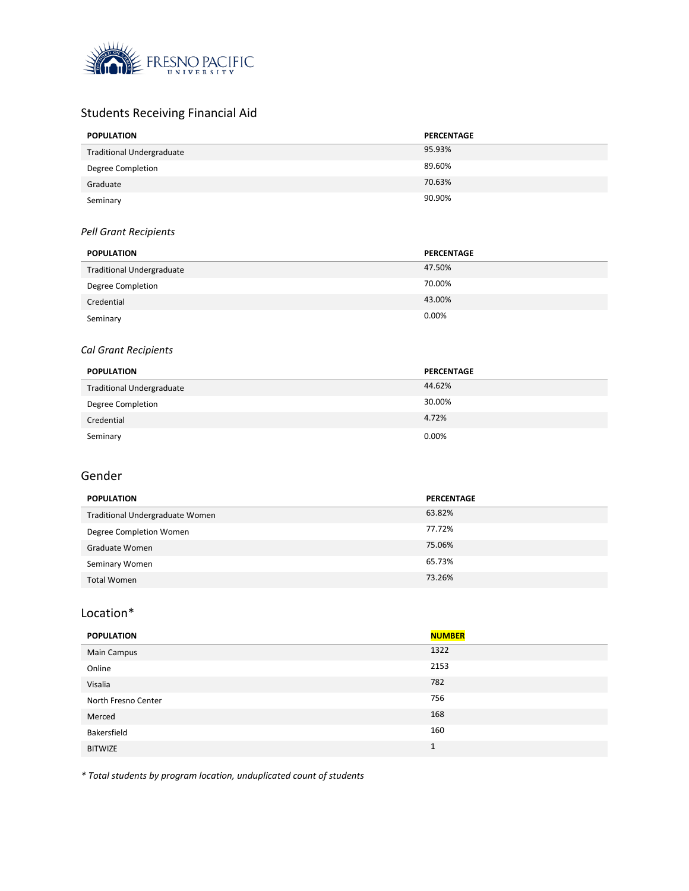

# Students Receiving Financial Aid

| <b>POPULATION</b>                | PERCENTAGE |
|----------------------------------|------------|
| <b>Traditional Undergraduate</b> | 95.93%     |
| Degree Completion                | 89.60%     |
| Graduate                         | 70.63%     |
| Seminary                         | 90.90%     |

#### *Pell Grant Recipients*

| <b>POPULATION</b>                | PERCENTAGE |
|----------------------------------|------------|
| <b>Traditional Undergraduate</b> | 47.50%     |
| <b>Degree Completion</b>         | 70.00%     |
| Credential                       | 43.00%     |
| Seminary                         | 0.00%      |

## *Cal Grant Recipients*

| <b>POPULATION</b>                | PERCENTAGE |
|----------------------------------|------------|
| <b>Traditional Undergraduate</b> | 44.62%     |
| Degree Completion                | 30.00%     |
| Credential                       | 4.72%      |
| Seminary                         | 0.00%      |

# Gender

| <b>POPULATION</b>               | <b>PERCENTAGE</b> |
|---------------------------------|-------------------|
| Traditional Undergraduate Women | 63.82%            |
| Degree Completion Women         | 77.72%            |
| Graduate Women                  | 75.06%            |
| Seminary Women                  | 65.73%            |
| <b>Total Women</b>              | 73.26%            |

#### Location\*

| <b>POPULATION</b>   | <b>NUMBER</b> |
|---------------------|---------------|
| Main Campus         | 1322          |
| Online              | 2153          |
| Visalia             | 782           |
| North Fresno Center | 756           |
| Merced              | 168           |
| Bakersfield         | 160           |
| <b>BITWIZE</b>      | $\mathbf{1}$  |

*\* Total students by program location, unduplicated count of students*